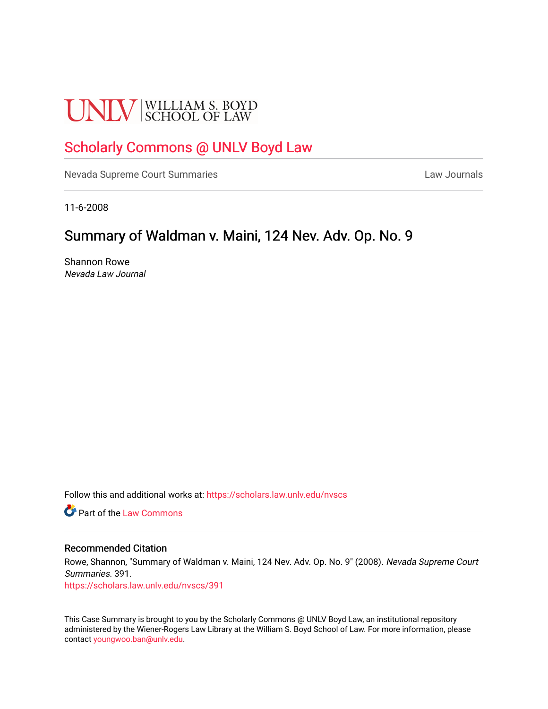# **UNLV** SCHOOL OF LAW

## [Scholarly Commons @ UNLV Boyd Law](https://scholars.law.unlv.edu/)

[Nevada Supreme Court Summaries](https://scholars.law.unlv.edu/nvscs) **Law Journals** Law Journals

11-6-2008

# Summary of Waldman v. Maini, 124 Nev. Adv. Op. No. 9

Shannon Rowe Nevada Law Journal

Follow this and additional works at: [https://scholars.law.unlv.edu/nvscs](https://scholars.law.unlv.edu/nvscs?utm_source=scholars.law.unlv.edu%2Fnvscs%2F391&utm_medium=PDF&utm_campaign=PDFCoverPages)

**C** Part of the [Law Commons](http://network.bepress.com/hgg/discipline/578?utm_source=scholars.law.unlv.edu%2Fnvscs%2F391&utm_medium=PDF&utm_campaign=PDFCoverPages)

#### Recommended Citation

Rowe, Shannon, "Summary of Waldman v. Maini, 124 Nev. Adv. Op. No. 9" (2008). Nevada Supreme Court Summaries. 391.

[https://scholars.law.unlv.edu/nvscs/391](https://scholars.law.unlv.edu/nvscs/391?utm_source=scholars.law.unlv.edu%2Fnvscs%2F391&utm_medium=PDF&utm_campaign=PDFCoverPages)

This Case Summary is brought to you by the Scholarly Commons @ UNLV Boyd Law, an institutional repository administered by the Wiener-Rogers Law Library at the William S. Boyd School of Law. For more information, please contact [youngwoo.ban@unlv.edu](mailto:youngwoo.ban@unlv.edu).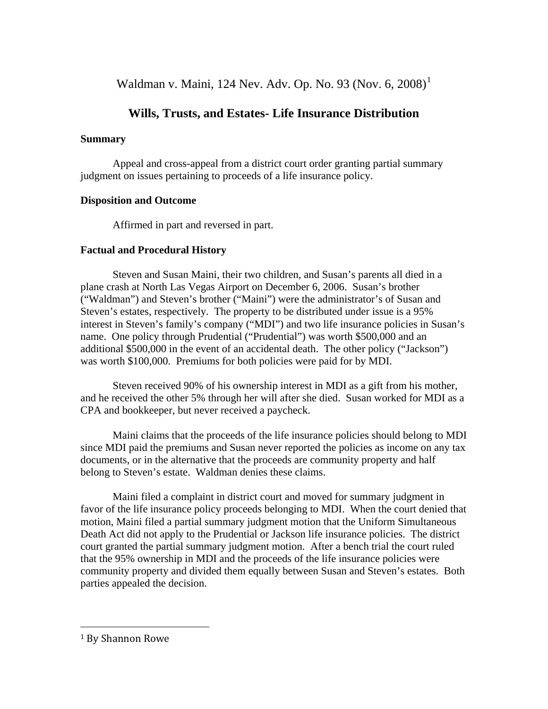Waldman v. Maini, [1](#page-1-0)24 Nev. Adv. Op. No. 93 (Nov. 6,  $2008$ )<sup>1</sup>

## **Wills, Trusts, and Estates- Life Insurance Distribution**

#### **Summary**

 Appeal and cross-appeal from a district court order granting partial summary judgment on issues pertaining to proceeds of a life insurance policy.

#### **Disposition and Outcome**

Affirmed in part and reversed in part.

#### **Factual and Procedural History**

 Steven and Susan Maini, their two children, and Susan's parents all died in a plane crash at North Las Vegas Airport on December 6, 2006. Susan's brother ("Waldman") and Steven's brother ("Maini") were the administrator's of Susan and Steven's estates, respectively. The property to be distributed under issue is a 95% interest in Steven's family's company ("MDI") and two life insurance policies in Susan's name. One policy through Prudential ("Prudential") was worth \$500,000 and an additional \$500,000 in the event of an accidental death. The other policy ("Jackson") was worth \$100,000. Premiums for both policies were paid for by MDI.

 Steven received 90% of his ownership interest in MDI as a gift from his mother, and he received the other 5% through her will after she died. Susan worked for MDI as a CPA and bookkeeper, but never received a paycheck.

 Maini claims that the proceeds of the life insurance policies should belong to MDI since MDI paid the premiums and Susan never reported the policies as income on any tax documents, or in the alternative that the proceeds are community property and half belong to Steven's estate. Waldman denies these claims.

 Maini filed a complaint in district court and moved for summary judgment in favor of the life insurance policy proceeds belonging to MDI. When the court denied that motion, Maini filed a partial summary judgment motion that the Uniform Simultaneous Death Act did not apply to the Prudential or Jackson life insurance policies. The district court granted the partial summary judgment motion. After a bench trial the court ruled that the 95% ownership in MDI and the proceeds of the life insurance policies were community property and divided them equally between Susan and Steven's estates. Both parties appealed the decision.

<span id="page-1-0"></span><sup>1</sup> By Shannon Rowe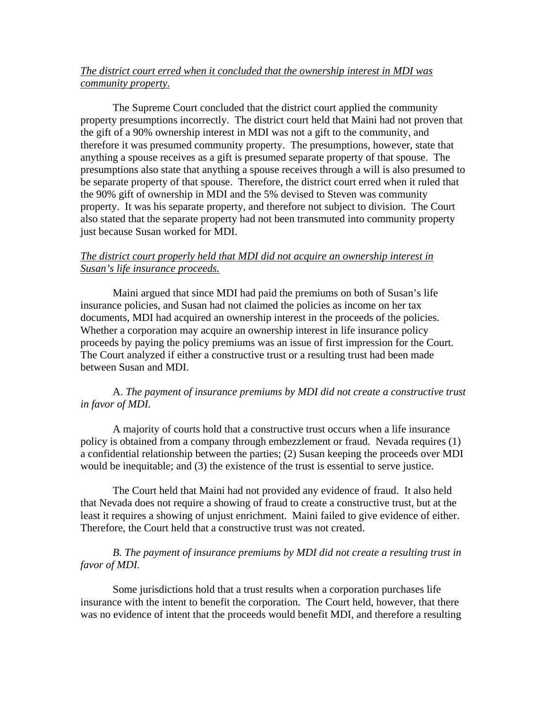#### *The district court erred when it concluded that the ownership interest in MDI was community property.*

 The Supreme Court concluded that the district court applied the community property presumptions incorrectly. The district court held that Maini had not proven that the gift of a 90% ownership interest in MDI was not a gift to the community, and therefore it was presumed community property. The presumptions, however, state that anything a spouse receives as a gift is presumed separate property of that spouse. The presumptions also state that anything a spouse receives through a will is also presumed to be separate property of that spouse. Therefore, the district court erred when it ruled that the 90% gift of ownership in MDI and the 5% devised to Steven was community property. It was his separate property, and therefore not subject to division. The Court also stated that the separate property had not been transmuted into community property just because Susan worked for MDI.

#### *The district court properly held that MDI did not acquire an ownership interest in Susan's life insurance proceeds.*

 Maini argued that since MDI had paid the premiums on both of Susan's life insurance policies, and Susan had not claimed the policies as income on her tax documents, MDI had acquired an ownership interest in the proceeds of the policies. Whether a corporation may acquire an ownership interest in life insurance policy proceeds by paying the policy premiums was an issue of first impression for the Court. The Court analyzed if either a constructive trust or a resulting trust had been made between Susan and MDI.

#### A. *The payment of insurance premiums by MDI did not create a constructive trust in favor of MDI.*

 A majority of courts hold that a constructive trust occurs when a life insurance policy is obtained from a company through embezzlement or fraud. Nevada requires (1) a confidential relationship between the parties; (2) Susan keeping the proceeds over MDI would be inequitable; and (3) the existence of the trust is essential to serve justice.

 The Court held that Maini had not provided any evidence of fraud. It also held that Nevada does not require a showing of fraud to create a constructive trust, but at the least it requires a showing of unjust enrichment. Maini failed to give evidence of either. Therefore, the Court held that a constructive trust was not created.

#### *B. The payment of insurance premiums by MDI did not create a resulting trust in favor of MDI.*

 Some jurisdictions hold that a trust results when a corporation purchases life insurance with the intent to benefit the corporation. The Court held, however, that there was no evidence of intent that the proceeds would benefit MDI, and therefore a resulting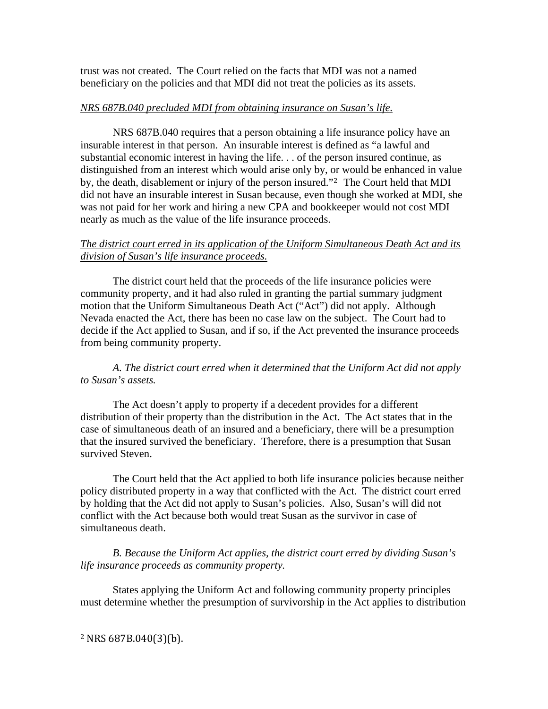trust was not created. The Court relied on the facts that MDI was not a named beneficiary on the policies and that MDI did not treat the policies as its assets.

#### *NRS 687B.040 precluded MDI from obtaining insurance on Susan's life.*

 NRS 687B.040 requires that a person obtaining a life insurance policy have an insurable interest in that person. An insurable interest is defined as "a lawful and substantial economic interest in having the life. . . of the person insured continue, as distinguished from an interest which would arise only by, [or](#page-3-0) would be enhanced in value by, the death, disablement or injury of the person insured."2 The Court held that MDI did not have an insurable interest in Susan because, even though she worked at MDI, she was not paid for her work and hiring a new CPA and bookkeeper would not cost MDI nearly as much as the value of the life insurance proceeds.

### *The district court erred in its application of the Uniform Simultaneous Death Act and its division of Susan's life insurance proceeds.*

 The district court held that the proceeds of the life insurance policies were community property, and it had also ruled in granting the partial summary judgment motion that the Uniform Simultaneous Death Act ("Act") did not apply. Although Nevada enacted the Act, there has been no case law on the subject. The Court had to decide if the Act applied to Susan, and if so, if the Act prevented the insurance proceeds from being community property.

*A. The district court erred when it determined that the Uniform Act did not apply to Susan's assets.* 

 The Act doesn't apply to property if a decedent provides for a different distribution of their property than the distribution in the Act. The Act states that in the case of simultaneous death of an insured and a beneficiary, there will be a presumption that the insured survived the beneficiary. Therefore, there is a presumption that Susan survived Steven.

 The Court held that the Act applied to both life insurance policies because neither policy distributed property in a way that conflicted with the Act. The district court erred by holding that the Act did not apply to Susan's policies. Also, Susan's will did not conflict with the Act because both would treat Susan as the survivor in case of simultaneous death.

*B. Because the Uniform Act applies, the district court erred by dividing Susan's life insurance proceeds as community property.* 

 States applying the Uniform Act and following community property principles must determine whether the presumption of survivorship in the Act applies to distribution

<span id="page-3-0"></span><sup>2</sup> NRS 687B.040(3)(b).